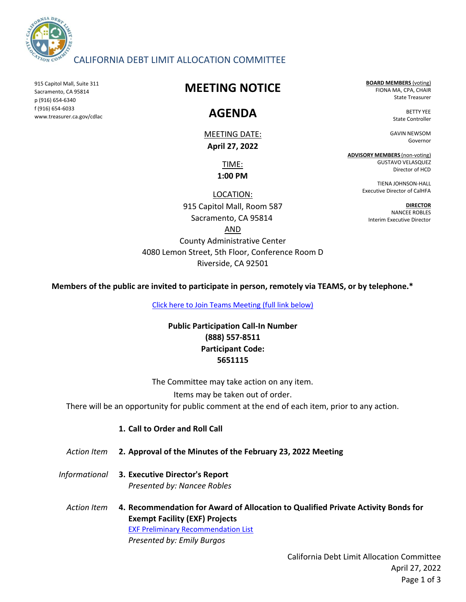

### CALIFORNIA DEBT LIMIT ALLOCATION COMMITTEE

915 Capitol Mall, Suite 311 Sacramento, CA 95814 p (916) 654-6340 f (916) 654-6033 www.treasurer.ca.gov/cdlac

# **MEETING NOTICE**

# **AGENDA**

MEETING DATE: **April 27, 2022**

> TIME: **1:00 PM**

LOCATION:

915 Capitol Mall, Room 587 Sacramento, CA 95814 AND

**BOARD MEMBERS** (voting) FIONA MA, CPA, CHAIR State Treasurer

> BETTY YEE State Controller

GAVIN NEWSOM Governor

**ADVISORY MEMBERS** (non-voting) GUSTAVO VELASQUEZ Director of HCD

> TIENA JOHNSON-HALL Executive Director of CalHFA

**DIRECTOR** NANCEE ROBLES Interim Executive Director

County Administrative Center 4080 Lemon Street, 5th Floor, Conference Room D Riverside, CA 92501

**Members of the public are invited to participate in person, remotely via TEAMS, or by telephone.\***

[Click here to Join Teams Meeting \(full link below\)](https://teams.microsoft.com/l/meetup-join/19%3ameeting_ODRhNGJhYWUtNDcwMC00OTNjLWIyZGUtZDMxZWI3Njk2NDZm%40thread.v2/0?context=%7b%22Tid%22%3a%223bee5c8a-6cb4-4c10-a77b-cd2eaeb7534e%22%2c%22Oid%22%3a%22f752cd03-38f5-48bd-b424-4bbeb3ad62eb%22%7d)

**Public Participation Call-In Number (888) 557-8511 Participant Code: 5651115**

The Committee may take action on any item.

Items may be taken out of order.

There will be an opportunity for public comment at the end of each item, prior to any action.

- **1. Call to Order and Roll Call**
- *Action Item* **2. Approval of the Minutes of the February 23, 2022 Meeting**
- *Informational* **3. Executive Director's Report** *Presented by: Nancee Robles*
	- *Action Item* **4. Recommendation for Award of Allocation to Qualified Private Activity Bonds for Exempt Facility (EXF) Projects**  *Presented by: Emily Burgos* [EXF Preliminary Rec](https://www.treasurer.ca.gov/cdlac/programyear/2022/01_April_27_Allocation_Meeting/01_EXF_Preliminary_Recommendation_List.pdf)ommendation List

California Debt Limit Allocation Committee April 27, 2022 Page 1 of 3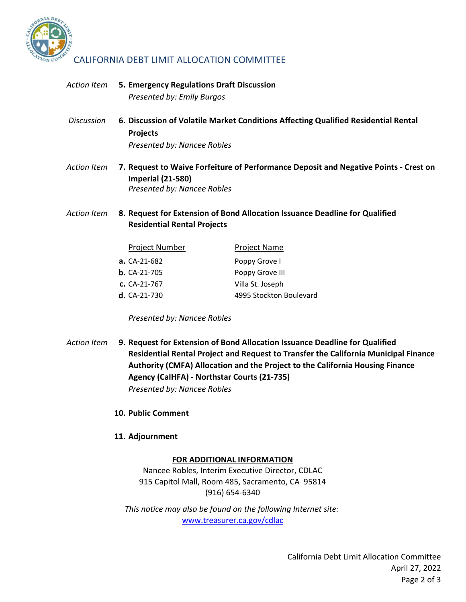

### CALIFORNIA DEBT LIMIT ALLOCATION COMMITTEE

- *Action Item* **5.** *Presented by: Emily Burgos* **Emergency Regulations Draft Discussion**
- *Discussion* **6. Projects Discussion of Volatile Market Conditions Affecting Qualified Residential Rental**  *Presented by: Nancee Robles*
- *Action Item* **7. Request to Waive Forfeiture of Performance Deposit and Negative Points Crest on Imperial (21-580)** *Presented by: Nancee Robles*
- *Action Item* **8. Request for Extension of Bond Allocation Issuance Deadline for Qualified Residential Rental Projects**

| <b>Project Number</b> | <b>Project Name</b>     |
|-----------------------|-------------------------|
| <b>a.</b> CA-21-682   | Poppy Grove I           |
| <b>b.</b> CA-21-705   | Poppy Grove III         |
| $c. CA-21-767$        | Villa St. Joseph        |
| <b>d.</b> CA-21-730   | 4995 Stockton Boulevard |

*Presented by: Nancee Robles*

- *Action Item* **9. Request for Extension of Bond Allocation Issuance Deadline for Qualified Residential Rental Project and Request to Transfer the California Municipal Finance Authority (CMFA) Allocation and the Project to the California Housing Finance Agency (CalHFA) - Northstar Courts (21-735)**  *Presented by: Nancee Robles*
	- **10. Public Comment**
	- **11. Adjournment**

#### **FOR ADDITIONAL INFORMATION**

Nancee Robles, Interim Executive Director, CDLAC 915 Capitol Mall, Room 485, Sacramento, CA 95814 (916) 654-6340

www.treasurer.ca.gov/cdlac *This notice may also be found on the following Internet site:*